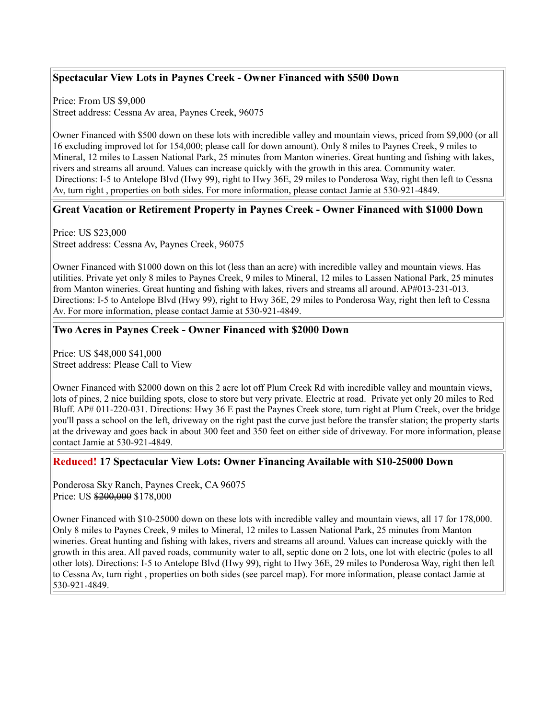# **Spectacular View Lots in Paynes Creek - Owner Financed with \$500 Down**

Price: From US \$9,000 Street address: Cessna Av area, Paynes Creek, 96075

Owner Financed with \$500 down on these lots with incredible valley and mountain views, priced from \$9,000 (or all 16 excluding improved lot for 154,000; please call for down amount). Only 8 miles to Paynes Creek, 9 miles to Mineral, 12 miles to Lassen National Park, 25 minutes from Manton wineries. Great hunting and fishing with lakes, rivers and streams all around. Values can increase quickly with the growth in this area. Community water. Directions: I-5 to Antelope Blvd (Hwy 99), right to Hwy 36E, 29 miles to Ponderosa Way, right then left to Cessna Av, turn right , properties on both sides. For more information, please contact Jamie at 530-921-4849.

### **Great Vacation or Retirement Property in Paynes Creek - Owner Financed with \$1000 Down**

Price: US \$23,000 Street address: Cessna Av, Paynes Creek, 96075

Owner Financed with \$1000 down on this lot (less than an acre) with incredible valley and mountain views. Has utilities. Private yet only 8 miles to Paynes Creek, 9 miles to Mineral, 12 miles to Lassen National Park, 25 minutes from Manton wineries. Great hunting and fishing with lakes, rivers and streams all around. AP#013-231-013. Directions: I-5 to Antelope Blvd (Hwy 99), right to Hwy 36E, 29 miles to Ponderosa Way, right then left to Cessna Av. For more information, please contact Jamie at 530-921-4849.

### **Two Acres in Paynes Creek - Owner Financed with \$2000 Down**

Price: US \$48,000 \$41,000 Street address: Please Call to View

Owner Financed with \$2000 down on this 2 acre lot off Plum Creek Rd with incredible valley and mountain views, lots of pines, 2 nice building spots, close to store but very private. Electric at road. Private yet only 20 miles to Red Bluff. AP# 011-220-031. Directions: Hwy 36 E past the Paynes Creek store, turn right at Plum Creek, over the bridge you'll pass a school on the left, driveway on the right past the curve just before the transfer station; the property starts at the driveway and goes back in about 300 feet and 350 feet on either side of driveway. For more information, please contact Jamie at 530-921-4849.

#### **Reduced! 17 Spectacular View Lots: Owner Financing Available with \$10-25000 Down**

Ponderosa Sky Ranch, Paynes Creek, CA 96075 Price: US \$200,000 \$178,000

Owner Financed with \$10-25000 down on these lots with incredible valley and mountain views, all 17 for 178,000. Only 8 miles to Paynes Creek, 9 miles to Mineral, 12 miles to Lassen National Park, 25 minutes from Manton wineries. Great hunting and fishing with lakes, rivers and streams all around. Values can increase quickly with the growth in this area. All paved roads, community water to all, septic done on 2 lots, one lot with electric (poles to all other lots). Directions: I-5 to Antelope Blvd (Hwy 99), right to Hwy 36E, 29 miles to Ponderosa Way, right then left to Cessna Av, turn right , properties on both sides (see parcel map). For more information, please contact Jamie at 530-921-4849.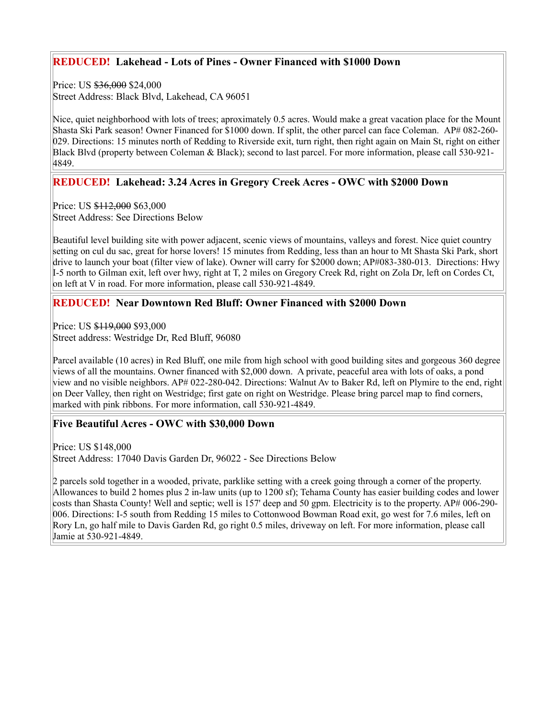## **REDUCED! Lakehead - Lots of Pines - Owner Financed with \$1000 Down**

Price: US \$36,000 \$24,000 Street Address: Black Blvd, Lakehead, CA 96051

Nice, quiet neighborhood with lots of trees; aproximately 0.5 acres. Would make a great vacation place for the Mount Shasta Ski Park season! Owner Financed for \$1000 down. If split, the other parcel can face Coleman. AP# 082-260- 029. Directions: 15 minutes north of Redding to Riverside exit, turn right, then right again on Main St, right on either Black Blvd (property between Coleman & Black); second to last parcel. For more information, please call 530-921- 4849.

## **REDUCED! Lakehead: 3.24 Acres in Gregory Creek Acres - OWC with \$2000 Down**

Price: US \$112,000 \$63,000 Street Address: See Directions Below

Beautiful level building site with power adjacent, scenic views of mountains, valleys and forest. Nice quiet country setting on cul du sac, great for horse lovers! 15 minutes from Redding, less than an hour to Mt Shasta Ski Park, short drive to launch your boat (filter view of lake). Owner will carry for \$2000 down; AP#083-380-013. Directions: Hwy I-5 north to Gilman exit, left over hwy, right at T, 2 miles on Gregory Creek Rd, right on Zola Dr, left on Cordes Ct, on left at V in road. For more information, please call 530-921-4849.

### **REDUCED! Near Downtown Red Bluff: Owner Financed with \$2000 Down**

Price: US \$119,000 \$93,000 Street address: Westridge Dr, Red Bluff, 96080

Parcel available (10 acres) in Red Bluff, one mile from high school with good building sites and gorgeous 360 degree views of all the mountains. Owner financed with \$2,000 down. A private, peaceful area with lots of oaks, a pond view and no visible neighbors. AP# 022-280-042. Directions: Walnut Av to Baker Rd, left on Plymire to the end, right on Deer Valley, then right on Westridge; first gate on right on Westridge. Please bring parcel map to find corners, marked with pink ribbons. For more information, call 530-921-4849.

#### **Five Beautiful Acres - OWC with \$30,000 Down**

Price: US \$148,000 Street Address: 17040 Davis Garden Dr, 96022 - See Directions Below

2 parcels sold together in a wooded, private, parklike setting with a creek going through a corner of the property. Allowances to build 2 homes plus 2 in-law units (up to 1200 sf); Tehama County has easier building codes and lower costs than Shasta County! Well and septic; well is 157' deep and 50 gpm. Electricity is to the property. AP# 006-290- 006. Directions: I-5 south from Redding 15 miles to Cottonwood Bowman Road exit, go west for 7.6 miles, left on Rory Ln, go half mile to Davis Garden Rd, go right 0.5 miles, driveway on left. For more information, please call Jamie at 530-921-4849.